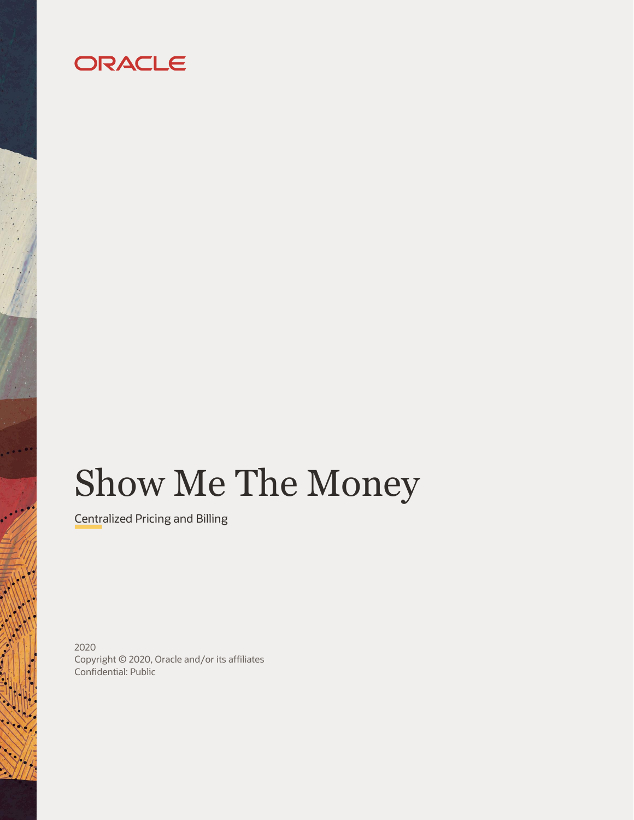# ORACLE

# Show Me The Money

Centralized Pricing and Billing

2020 Copyright © 2020, Oracle and/or its affiliates Confidential: Public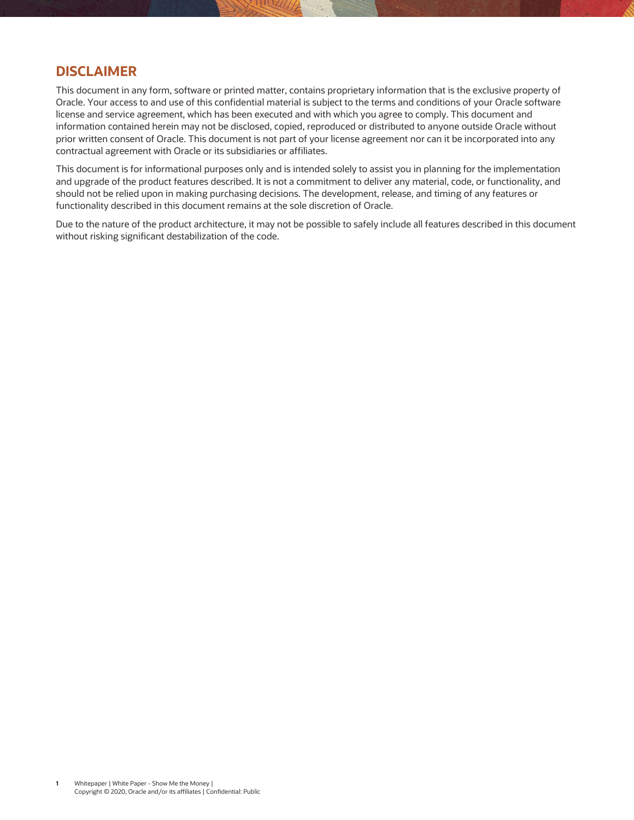#### **DISCLAIMER**

This document in any form, software or printed matter, contains proprietary information that is the exclusive property of Oracle. Your access to and use of this confidential material is subject to the terms and conditions of your Oracle software license and service agreement, which has been executed and with which you agree to comply. This document and information contained herein may not be disclosed, copied, reproduced or distributed to anyone outside Oracle without prior written consent of Oracle. This document is not part of your license agreement nor can it be incorporated into any contractual agreement with Oracle or its subsidiaries or affiliates.

This document is for informational purposes only and is intended solely to assist you in planning for the implementation and upgrade of the product features described. It is not a commitment to deliver any material, code, or functionality, and should not be relied upon in making purchasing decisions. The development, release, and timing of any features or functionality described in this document remains at the sole discretion of Oracle.

Due to the nature of the product architecture, it may not be possible to safely include all features described in this document without risking significant destabilization of the code.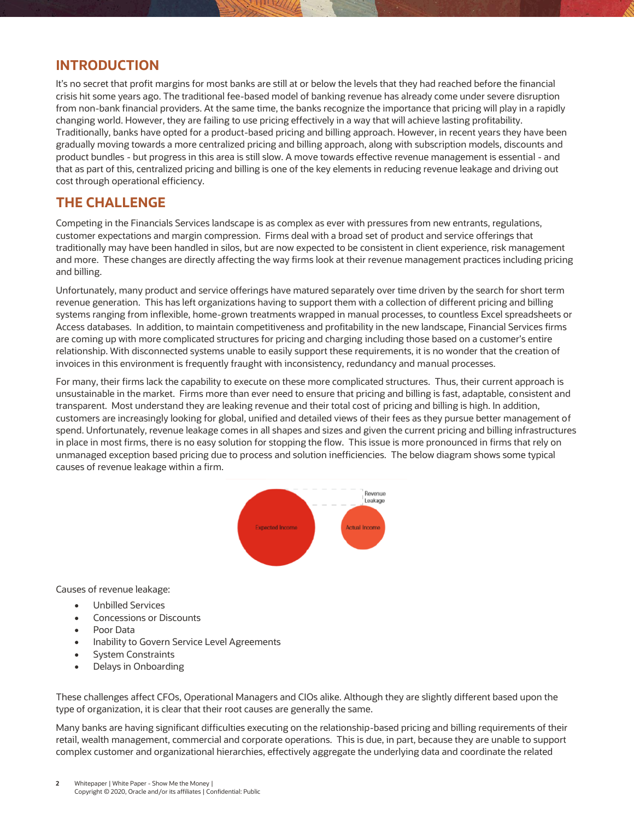#### **INTRODUCTION**

It's no secret that profit margins for most banks are still at or below the levels that they had reached before the financial crisis hit some years ago. The traditional fee-based model of banking revenue has already come under severe disruption from non-bank financial providers. At the same time, the banks recognize the importance that pricing will play in a rapidly changing world. However, they are failing to use pricing effectively in a way that will achieve lasting profitability. Traditionally, banks have opted for a product-based pricing and billing approach. However, in recent years they have been gradually moving towards a more centralized pricing and billing approach, along with subscription models, discounts and product bundles - but progress in this area is still slow. A move towards effective revenue management is essential - and that as part of this, centralized pricing and billing is one of the key elements in reducing revenue leakage and driving out cost through operational efficiency.

#### **THE CHALLENGE**

Competing in the Financials Services landscape is as complex as ever with pressures from new entrants, regulations, customer expectations and margin compression. Firms deal with a broad set of product and service offerings that traditionally may have been handled in silos, but are now expected to be consistent in client experience, risk management and more. These changes are directly affecting the way firms look at their revenue management practices including pricing and billing.

Unfortunately, many product and service offerings have matured separately over time driven by the search for short term revenue generation. This has left organizations having to support them with a collection of different pricing and billing systems ranging from inflexible, home-grown treatments wrapped in manual processes, to countless Excel spreadsheets or Access databases. In addition, to maintain competitiveness and profitability in the new landscape, Financial Services firms are coming up with more complicated structures for pricing and charging including those based on a customer's entire relationship. With disconnected systems unable to easily support these requirements, it is no wonder that the creation of invoices in this environment is frequently fraught with inconsistency, redundancy and manual processes.

For many, their firms lack the capability to execute on these more complicated structures. Thus, their current approach is unsustainable in the market. Firms more than ever need to ensure that pricing and billing is fast, adaptable, consistent and transparent. Most understand they are leaking revenue and their total cost of pricing and billing is high. In addition, customers are increasingly looking for global, unified and detailed views of their fees as they pursue better management of spend. Unfortunately, revenue leakage comes in all shapes and sizes and given the current pricing and billing infrastructures in place in most firms, there is no easy solution for stopping the flow. This issue is more pronounced in firms that rely on unmanaged exception based pricing due to process and solution inefficiencies. The below diagram shows some typical causes of revenue leakage within a firm.



Causes of revenue leakage:

- Unbilled Services
- Concessions or Discounts
- Poor Data
- Inability to Govern Service Level Agreements
- System Constraints
- Delays in Onboarding

These challenges affect CFOs, Operational Managers and CIOs alike. Although they are slightly different based upon the type of organization, it is clear that their root causes are generally the same.

Many banks are having significant difficulties executing on the relationship-based pricing and billing requirements of their retail, wealth management, commercial and corporate operations. This is due, in part, because they are unable to support complex customer and organizational hierarchies, effectively aggregate the underlying data and coordinate the related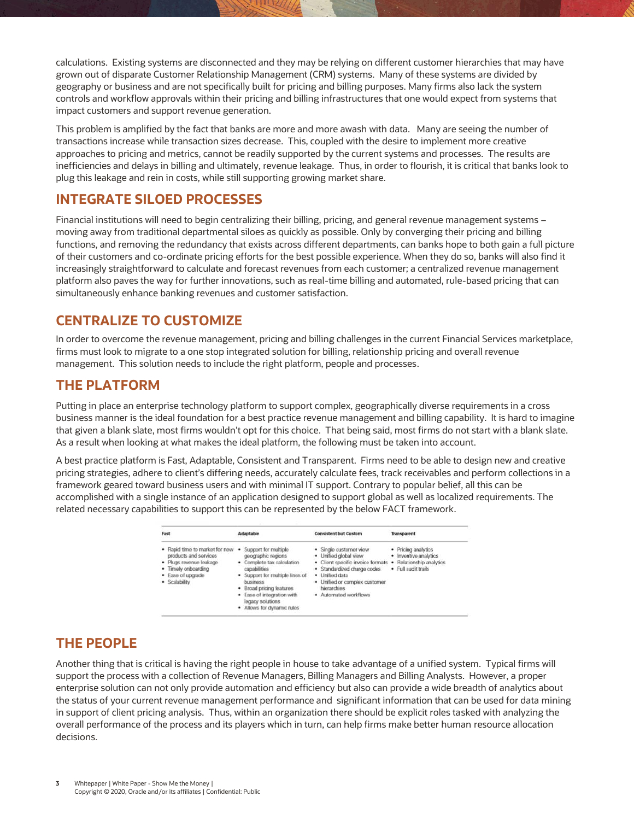calculations. Existing systems are disconnected and they may be relying on different customer hierarchies that may have grown out of disparate Customer Relationship Management (CRM) systems. Many of these systems are divided by geography or business and are not specifically built for pricing and billing purposes. Many firms also lack the system controls and workflow approvals within their pricing and billing infrastructures that one would expect from systems that impact customers and support revenue generation.

This problem is amplified by the fact that banks are more and more awash with data. Many are seeing the number of transactions increase while transaction sizes decrease. This, coupled with the desire to implement more creative approaches to pricing and metrics, cannot be readily supported by the current systems and processes. The results are inefficiencies and delays in billing and ultimately, revenue leakage. Thus, in order to flourish, it is critical that banks look to plug this leakage and rein in costs, while still supporting growing market share.

#### **INTEGRATE SILOED PROCESSES**

Financial institutions will need to begin centralizing their billing, pricing, and general revenue management systems – moving away from traditional departmental siloes as quickly as possible. Only by converging their pricing and billing functions, and removing the redundancy that exists across different departments, can banks hope to both gain a full picture of their customers and co-ordinate pricing efforts for the best possible experience. When they do so, banks will also find it increasingly straightforward to calculate and forecast revenues from each customer; a centralized revenue management platform also paves the way for further innovations, such as real-time billing and automated, rule-based pricing that can simultaneously enhance banking revenues and customer satisfaction.

## **CENTRALIZE TO CUSTOMIZE**

In order to overcome the revenue management, pricing and billing challenges in the current Financial Services marketplace, firms must look to migrate to a one stop integrated solution for billing, relationship pricing and overall revenue management. This solution needs to include the right platform, people and processes.

#### **THE PLATFORM**

Putting in place an enterprise technology platform to support complex, geographically diverse requirements in a cross business manner is the ideal foundation for a best practice revenue management and billing capability. It is hard to imagine that given a blank slate, most firms wouldn't opt for this choice. That being said, most firms do not start with a blank slate. As a result when looking at what makes the ideal platform, the following must be taken into account.

A best practice platform is Fast, Adaptable, Consistent and Transparent. Firms need to be able to design new and creative pricing strategies, adhere to client's differing needs, accurately calculate fees, track receivables and perform collections in a framework geared toward business users and with minimal IT support. Contrary to popular belief, all this can be accomplished with a single instance of an application designed to support global as well as localized requirements. The related necessary capabilities to support this can be represented by the below FACT framework.

| Fast                                                                                                                                                                   | Adaptable                                                                                                                                                                                                                 | <b>Consistent but Custom</b>                                                                                                                                                                                     | <b>Transparent</b>                                                                            |
|------------------------------------------------------------------------------------------------------------------------------------------------------------------------|---------------------------------------------------------------------------------------------------------------------------------------------------------------------------------------------------------------------------|------------------------------------------------------------------------------------------------------------------------------------------------------------------------------------------------------------------|-----------------------------------------------------------------------------------------------|
| . Rapid time to market for new . Support for multiple<br>products and services<br>· Plugs revenue leakage<br>· Timely onboarding<br>· Ease of upgrade<br>· Scalability | geographic regions<br>· Complete tax calculation<br>capabilities<br>· Support for multiple lines of<br>business<br>· Broad pricing features<br>· Ease of integration with<br>legacy solutions<br>Allows for dynamic rules | · Single customer view<br>· Unified global view<br>• Client specific invoice formats •<br>· Standardized charge codes<br>· Unified data<br>• Unified or complex customer<br>hierarchies<br>· Automated workflows | • Pricing analytics<br>· Inventive analytics<br>Relationship analytics<br>· Full audit trails |

#### **THE PEOPLE**

Another thing that is critical is having the right people in house to take advantage of a unified system. Typical firms will support the process with a collection of Revenue Managers, Billing Managers and Billing Analysts. However, a proper enterprise solution can not only provide automation and efficiency but also can provide a wide breadth of analytics about the status of your current revenue management performance and significant information that can be used for data mining in support of client pricing analysis. Thus, within an organization there should be explicit roles tasked with analyzing the overall performance of the process and its players which in turn, can help firms make better human resource allocation decisions.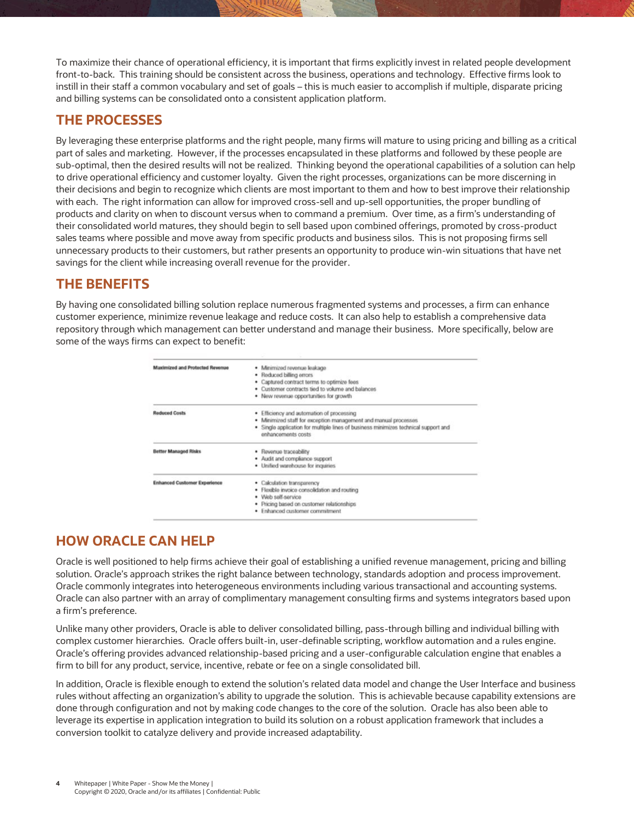To maximize their chance of operational efficiency, it is important that firms explicitly invest in related people development front-to-back. This training should be consistent across the business, operations and technology. Effective firms look to instill in their staff a common vocabulary and set of goals – this is much easier to accomplish if multiple, disparate pricing and billing systems can be consolidated onto a consistent application platform.

#### **THE PROCESSES**

By leveraging these enterprise platforms and the right people, many firms will mature to using pricing and billing as a critical part of sales and marketing. However, if the processes encapsulated in these platforms and followed by these people are sub-optimal, then the desired results will not be realized. Thinking beyond the operational capabilities of a solution can help to drive operational efficiency and customer loyalty. Given the right processes, organizations can be more discerning in their decisions and begin to recognize which clients are most important to them and how to best improve their relationship with each. The right information can allow for improved cross-sell and up-sell opportunities, the proper bundling of products and clarity on when to discount versus when to command a premium. Over time, as a firm's understanding of their consolidated world matures, they should begin to sell based upon combined offerings, promoted by cross-product sales teams where possible and move away from specific products and business silos. This is not proposing firms sell unnecessary products to their customers, but rather presents an opportunity to produce win-win situations that have net savings for the client while increasing overall revenue for the provider.

#### **THE BENEFITS**

By having one consolidated billing solution replace numerous fragmented systems and processes, a firm can enhance customer experience, minimize revenue leakage and reduce costs. It can also help to establish a comprehensive data repository through which management can better understand and manage their business. More specifically, below are some of the ways firms can expect to benefit:

| <b>Maximized and Protected Revenue</b> | · Minimized revenue leakage                                                                                |  |
|----------------------------------------|------------------------------------------------------------------------------------------------------------|--|
|                                        | · Reduced billing errors                                                                                   |  |
|                                        | Captured contract terms to optimize fees<br>٠                                                              |  |
|                                        | . Customer contracts tied to volume and balances                                                           |  |
|                                        | . New revenue opportunities for growth                                                                     |  |
| <b>Reduced Costs</b>                   | . Efficiency and automation of processing                                                                  |  |
|                                        | . Minimized staff for exception management and manual processes                                            |  |
|                                        | · Single application for multiple lines of business minimizes technical support and<br>enhancements costs. |  |
| <b>Better Managed Risks</b>            | · Revenue traceability                                                                                     |  |
|                                        | . Audit and compliance support                                                                             |  |
|                                        | · Unified warehouse for inquiries                                                                          |  |
| <b>Enhanced Customer Experience</b>    | · Calculation transparency                                                                                 |  |
|                                        | · Flexible invoice consolidation and routing                                                               |  |
|                                        | · Web self-service                                                                                         |  |
|                                        | · Pricing based on customer relationships                                                                  |  |
|                                        | · Enhanced customer commitment                                                                             |  |

#### **HOW ORACLE CAN HELP**

Oracle is well positioned to help firms achieve their goal of establishing a unified revenue management, pricing and billing solution. Oracle's approach strikes the right balance between technology, standards adoption and process improvement. Oracle commonly integrates into heterogeneous environments including various transactional and accounting systems. Oracle can also partner with an array of complimentary management consulting firms and systems integrators based upon a firm's preference.

Unlike many other providers, Oracle is able to deliver consolidated billing, pass-through billing and individual billing with complex customer hierarchies. Oracle offers built-in, user-definable scripting, workflow automation and a rules engine. Oracle's offering provides advanced relationship-based pricing and a user-configurable calculation engine that enables a firm to bill for any product, service, incentive, rebate or fee on a single consolidated bill.

In addition, Oracle is flexible enough to extend the solution's related data model and change the User Interface and business rules without affecting an organization's ability to upgrade the solution. This is achievable because capability extensions are done through configuration and not by making code changes to the core of the solution. Oracle has also been able to leverage its expertise in application integration to build its solution on a robust application framework that includes a conversion toolkit to catalyze delivery and provide increased adaptability.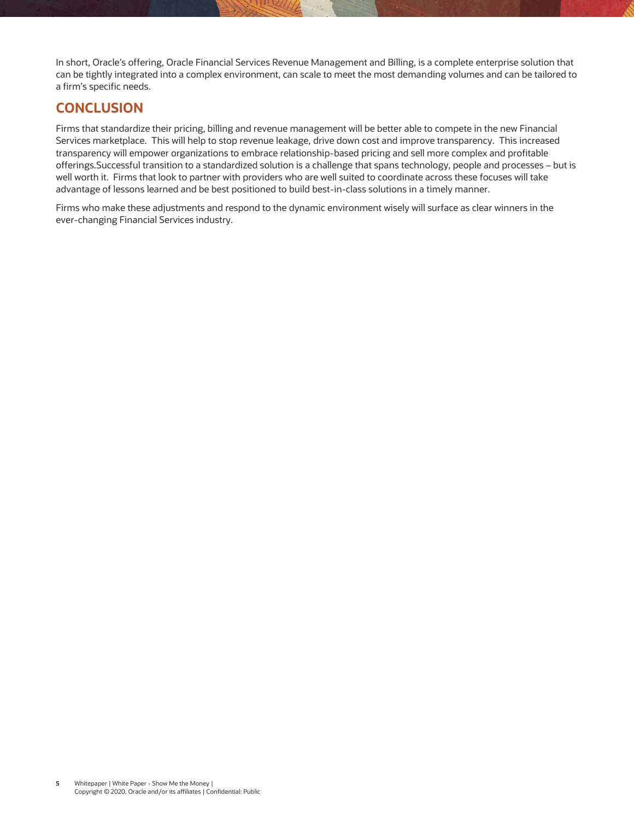In short, Oracle's offering, Oracle Financial Services Revenue Management and Billing, is a complete enterprise solution that can be tightly integrated into a complex environment, can scale to meet the most demanding volumes and can be tailored to a firm's specific needs.

## **CONCLUSION**

Firms that standardize their pricing, billing and revenue management will be better able to compete in the new Financial Services marketplace. This will help to stop revenue leakage, drive down cost and improve transparency. This increased transparency will empower organizations to embrace relationship-based pricing and sell more complex and profitable offerings.Successful transition to a standardized solution is a challenge that spans technology, people and processes – but is well worth it. Firms that look to partner with providers who are well suited to coordinate across these focuses will take advantage of lessons learned and be best positioned to build best-in-class solutions in a timely manner.

Firms who make these adjustments and respond to the dynamic environment wisely will surface as clear winners in the ever-changing Financial Services industry.